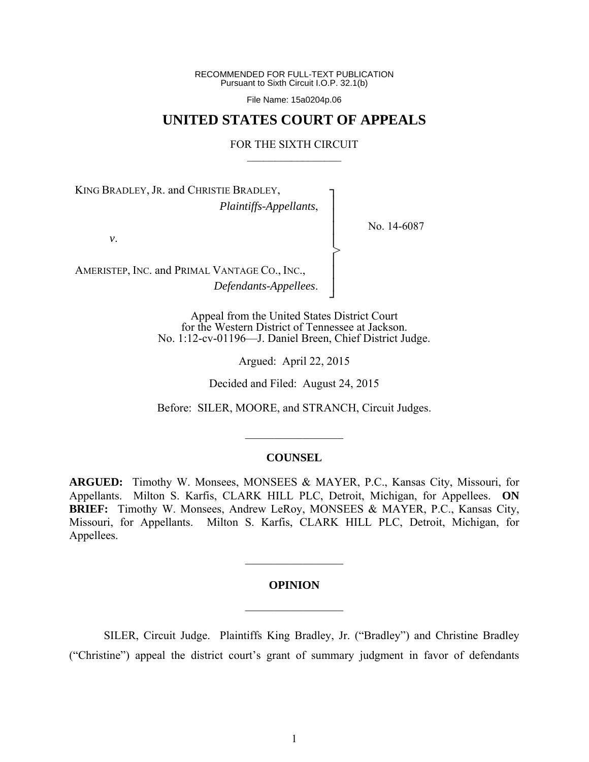RECOMMENDED FOR FULL-TEXT PUBLICATION Pursuant to Sixth Circuit I.O.P. 32.1(b)

File Name: 15a0204p.06

# **UNITED STATES COURT OF APPEALS**

### FOR THE SIXTH CIRCUIT  $\mathcal{L}_\text{max}$

┐ │ │ │ │ │ │ │ ┘

>

No. 14-6087

KING BRADLEY, JR. and CHRISTIE BRADLEY, *Plaintiffs-Appellants*,

*v*.

AMERISTEP, INC. and PRIMAL VANTAGE CO., INC., *Defendants-Appellees*.

> Appeal from the United States District Court for the Western District of Tennessee at Jackson. No. 1:12-cv-01196—J. Daniel Breen, Chief District Judge.

> > Argued: April 22, 2015

Decided and Filed: August 24, 2015

Before: SILER, MOORE, and STRANCH, Circuit Judges.

 $\frac{1}{2}$ 

### **COUNSEL**

**ARGUED:** Timothy W. Monsees, MONSEES & MAYER, P.C., Kansas City, Missouri, for Appellants. Milton S. Karfis, CLARK HILL PLC, Detroit, Michigan, for Appellees. **ON BRIEF:** Timothy W. Monsees, Andrew LeRoy, MONSEES & MAYER, P.C., Kansas City, Missouri, for Appellants. Milton S. Karfis, CLARK HILL PLC, Detroit, Michigan, for Appellees.

### **OPINION**

 $\frac{1}{2}$ 

 $\frac{1}{2}$ 

SILER, Circuit Judge. Plaintiffs King Bradley, Jr. ("Bradley") and Christine Bradley ("Christine") appeal the district court's grant of summary judgment in favor of defendants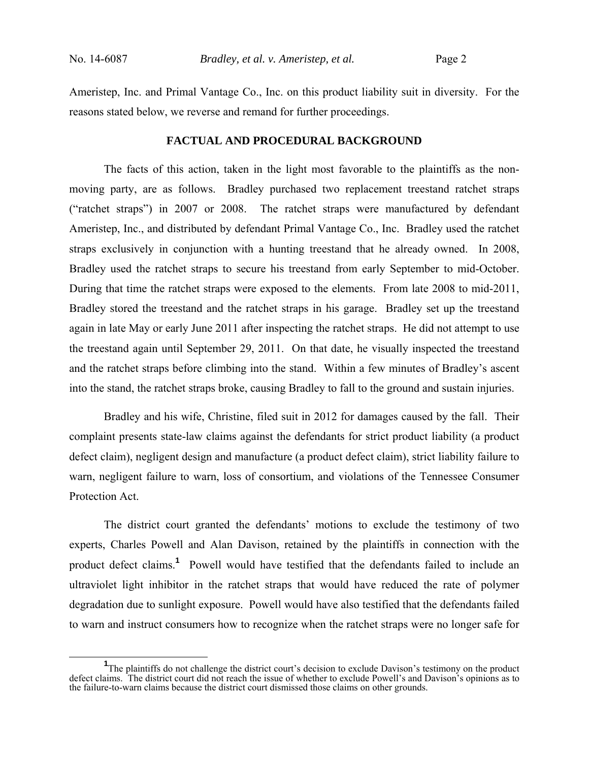Ameristep, Inc. and Primal Vantage Co., Inc. on this product liability suit in diversity. For the reasons stated below, we reverse and remand for further proceedings.

### **FACTUAL AND PROCEDURAL BACKGROUND**

 The facts of this action, taken in the light most favorable to the plaintiffs as the nonmoving party, are as follows. Bradley purchased two replacement treestand ratchet straps ("ratchet straps") in 2007 or 2008. The ratchet straps were manufactured by defendant Ameristep, Inc., and distributed by defendant Primal Vantage Co., Inc. Bradley used the ratchet straps exclusively in conjunction with a hunting treestand that he already owned. In 2008, Bradley used the ratchet straps to secure his treestand from early September to mid-October. During that time the ratchet straps were exposed to the elements. From late 2008 to mid-2011, Bradley stored the treestand and the ratchet straps in his garage. Bradley set up the treestand again in late May or early June 2011 after inspecting the ratchet straps. He did not attempt to use the treestand again until September 29, 2011. On that date, he visually inspected the treestand and the ratchet straps before climbing into the stand. Within a few minutes of Bradley's ascent into the stand, the ratchet straps broke, causing Bradley to fall to the ground and sustain injuries.

 Bradley and his wife, Christine, filed suit in 2012 for damages caused by the fall. Their complaint presents state-law claims against the defendants for strict product liability (a product defect claim), negligent design and manufacture (a product defect claim), strict liability failure to warn, negligent failure to warn, loss of consortium, and violations of the Tennessee Consumer Protection Act.

The district court granted the defendants' motions to exclude the testimony of two experts, Charles Powell and Alan Davison, retained by the plaintiffs in connection with the product defect claims.**<sup>1</sup>** Powell would have testified that the defendants failed to include an ultraviolet light inhibitor in the ratchet straps that would have reduced the rate of polymer degradation due to sunlight exposure. Powell would have also testified that the defendants failed to warn and instruct consumers how to recognize when the ratchet straps were no longer safe for

<sup>&</sup>lt;sup>1</sup>The plaintiffs do not challenge the district court's decision to exclude Davison's testimony on the product defect claims. The district court did not reach the issue of whether to exclude Powell's and Davison's opinions as to the failure-to-warn claims because the district court dismissed those claims on other grounds.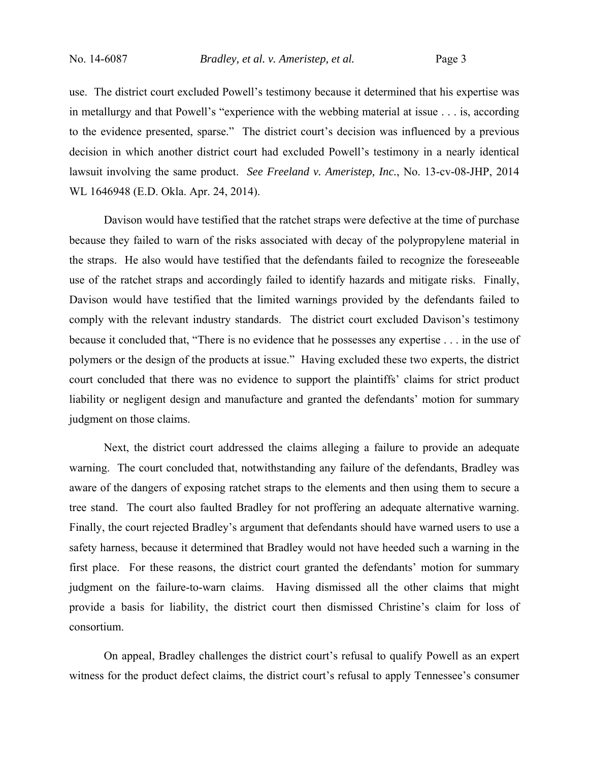use. The district court excluded Powell's testimony because it determined that his expertise was in metallurgy and that Powell's "experience with the webbing material at issue . . . is, according to the evidence presented, sparse." The district court's decision was influenced by a previous decision in which another district court had excluded Powell's testimony in a nearly identical lawsuit involving the same product. *See Freeland v. Ameristep, Inc.*, No. 13-cv-08-JHP, 2014 WL 1646948 (E.D. Okla. Apr. 24, 2014).

Davison would have testified that the ratchet straps were defective at the time of purchase because they failed to warn of the risks associated with decay of the polypropylene material in the straps. He also would have testified that the defendants failed to recognize the foreseeable use of the ratchet straps and accordingly failed to identify hazards and mitigate risks. Finally, Davison would have testified that the limited warnings provided by the defendants failed to comply with the relevant industry standards. The district court excluded Davison's testimony because it concluded that, "There is no evidence that he possesses any expertise . . . in the use of polymers or the design of the products at issue." Having excluded these two experts, the district court concluded that there was no evidence to support the plaintiffs' claims for strict product liability or negligent design and manufacture and granted the defendants' motion for summary judgment on those claims.

Next, the district court addressed the claims alleging a failure to provide an adequate warning. The court concluded that, notwithstanding any failure of the defendants, Bradley was aware of the dangers of exposing ratchet straps to the elements and then using them to secure a tree stand. The court also faulted Bradley for not proffering an adequate alternative warning. Finally, the court rejected Bradley's argument that defendants should have warned users to use a safety harness, because it determined that Bradley would not have heeded such a warning in the first place. For these reasons, the district court granted the defendants' motion for summary judgment on the failure-to-warn claims. Having dismissed all the other claims that might provide a basis for liability, the district court then dismissed Christine's claim for loss of consortium.

On appeal, Bradley challenges the district court's refusal to qualify Powell as an expert witness for the product defect claims, the district court's refusal to apply Tennessee's consumer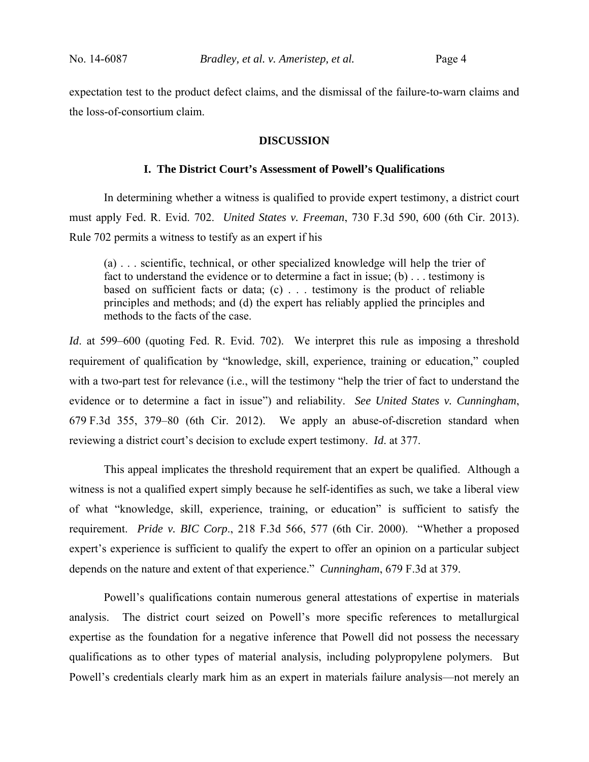expectation test to the product defect claims, and the dismissal of the failure-to-warn claims and the loss-of-consortium claim.

### **DISCUSSION**

### **I. The District Court's Assessment of Powell's Qualifications**

In determining whether a witness is qualified to provide expert testimony, a district court must apply Fed. R. Evid. 702. *United States v. Freeman*, 730 F.3d 590, 600 (6th Cir. 2013). Rule 702 permits a witness to testify as an expert if his

(a) . . . scientific, technical, or other specialized knowledge will help the trier of fact to understand the evidence or to determine a fact in issue; (b) . . . testimony is based on sufficient facts or data; (c) . . . testimony is the product of reliable principles and methods; and (d) the expert has reliably applied the principles and methods to the facts of the case.

*Id.* at 599–600 (quoting Fed. R. Evid. 702). We interpret this rule as imposing a threshold requirement of qualification by "knowledge, skill, experience, training or education," coupled with a two-part test for relevance (i.e., will the testimony "help the trier of fact to understand the evidence or to determine a fact in issue") and reliability. *See United States v. Cunningham*, 679 F.3d 355, 379–80 (6th Cir. 2012). We apply an abuse-of-discretion standard when reviewing a district court's decision to exclude expert testimony. *Id*. at 377.

 This appeal implicates the threshold requirement that an expert be qualified. Although a witness is not a qualified expert simply because he self-identifies as such, we take a liberal view of what "knowledge, skill, experience, training, or education" is sufficient to satisfy the requirement. *Pride v. BIC Corp*., 218 F.3d 566, 577 (6th Cir. 2000). "Whether a proposed expert's experience is sufficient to qualify the expert to offer an opinion on a particular subject depends on the nature and extent of that experience." *Cunningham*, 679 F.3d at 379.

 Powell's qualifications contain numerous general attestations of expertise in materials analysis. The district court seized on Powell's more specific references to metallurgical expertise as the foundation for a negative inference that Powell did not possess the necessary qualifications as to other types of material analysis, including polypropylene polymers. But Powell's credentials clearly mark him as an expert in materials failure analysis—not merely an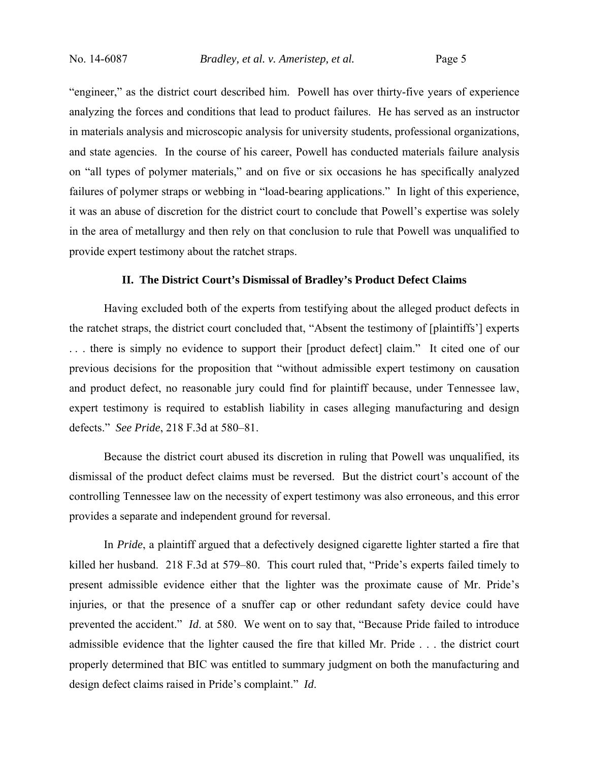"engineer," as the district court described him. Powell has over thirty-five years of experience analyzing the forces and conditions that lead to product failures. He has served as an instructor in materials analysis and microscopic analysis for university students, professional organizations, and state agencies. In the course of his career, Powell has conducted materials failure analysis on "all types of polymer materials," and on five or six occasions he has specifically analyzed failures of polymer straps or webbing in "load-bearing applications." In light of this experience, it was an abuse of discretion for the district court to conclude that Powell's expertise was solely in the area of metallurgy and then rely on that conclusion to rule that Powell was unqualified to provide expert testimony about the ratchet straps.

### **II. The District Court's Dismissal of Bradley's Product Defect Claims**

Having excluded both of the experts from testifying about the alleged product defects in the ratchet straps, the district court concluded that, "Absent the testimony of [plaintiffs'] experts . . . there is simply no evidence to support their [product defect] claim." It cited one of our previous decisions for the proposition that "without admissible expert testimony on causation and product defect, no reasonable jury could find for plaintiff because, under Tennessee law, expert testimony is required to establish liability in cases alleging manufacturing and design defects." *See Pride*, 218 F.3d at 580–81.

Because the district court abused its discretion in ruling that Powell was unqualified, its dismissal of the product defect claims must be reversed. But the district court's account of the controlling Tennessee law on the necessity of expert testimony was also erroneous, and this error provides a separate and independent ground for reversal.

In *Pride*, a plaintiff argued that a defectively designed cigarette lighter started a fire that killed her husband. 218 F.3d at 579–80. This court ruled that, "Pride's experts failed timely to present admissible evidence either that the lighter was the proximate cause of Mr. Pride's injuries, or that the presence of a snuffer cap or other redundant safety device could have prevented the accident." *Id*. at 580. We went on to say that, "Because Pride failed to introduce admissible evidence that the lighter caused the fire that killed Mr. Pride . . . the district court properly determined that BIC was entitled to summary judgment on both the manufacturing and design defect claims raised in Pride's complaint." *Id*.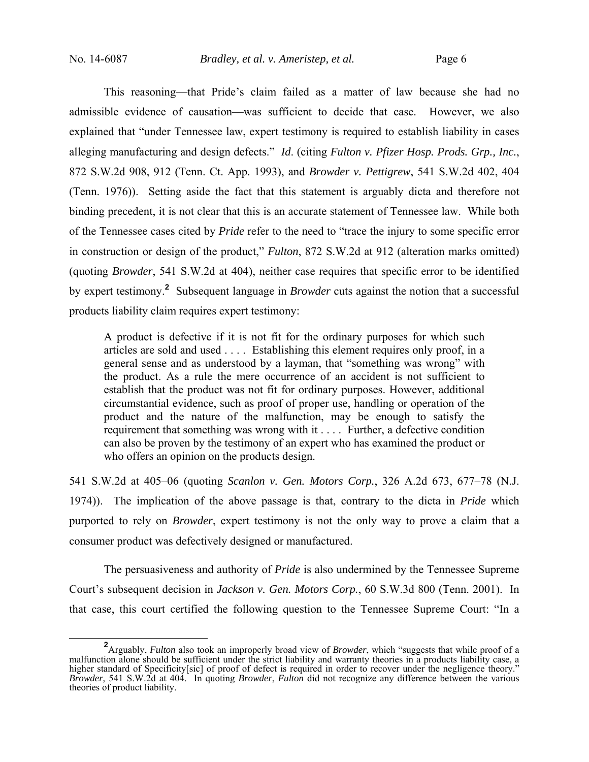This reasoning—that Pride's claim failed as a matter of law because she had no admissible evidence of causation—was sufficient to decide that case. However, we also explained that "under Tennessee law, expert testimony is required to establish liability in cases alleging manufacturing and design defects." *Id*. (citing *Fulton v. Pfizer Hosp. Prods. Grp., Inc.*, 872 S.W.2d 908, 912 (Tenn. Ct. App. 1993), and *Browder v. Pettigrew*, 541 S.W.2d 402, 404 (Tenn. 1976)). Setting aside the fact that this statement is arguably dicta and therefore not binding precedent, it is not clear that this is an accurate statement of Tennessee law. While both of the Tennessee cases cited by *Pride* refer to the need to "trace the injury to some specific error in construction or design of the product," *Fulton*, 872 S.W.2d at 912 (alteration marks omitted) (quoting *Browder*, 541 S.W.2d at 404), neither case requires that specific error to be identified by expert testimony.**<sup>2</sup>** Subsequent language in *Browder* cuts against the notion that a successful products liability claim requires expert testimony:

A product is defective if it is not fit for the ordinary purposes for which such articles are sold and used . . . . Establishing this element requires only proof, in a general sense and as understood by a layman, that "something was wrong" with the product. As a rule the mere occurrence of an accident is not sufficient to establish that the product was not fit for ordinary purposes. However, additional circumstantial evidence, such as proof of proper use, handling or operation of the product and the nature of the malfunction, may be enough to satisfy the requirement that something was wrong with it . . . . Further, a defective condition can also be proven by the testimony of an expert who has examined the product or who offers an opinion on the products design.

541 S.W.2d at 405–06 (quoting *Scanlon v. Gen. Motors Corp.*, 326 A.2d 673, 677–78 (N.J. 1974)). The implication of the above passage is that, contrary to the dicta in *Pride* which purported to rely on *Browder*, expert testimony is not the only way to prove a claim that a consumer product was defectively designed or manufactured.

The persuasiveness and authority of *Pride* is also undermined by the Tennessee Supreme Court's subsequent decision in *Jackson v. Gen. Motors Corp.*, 60 S.W.3d 800 (Tenn. 2001). In that case, this court certified the following question to the Tennessee Supreme Court: "In a

**<sup>2</sup>** Arguably, *Fulton* also took an improperly broad view of *Browder*, which "suggests that while proof of a malfunction alone should be sufficient under the strict liability and warranty theories in a products liability case, a higher standard of Specificity[sic] of proof of defect is required in order to recover under the negligence theory." *Browder*, 541 S.W.2d at 404. In quoting *Browder*, *Fulton* did not recognize any difference between the various theories of product liability.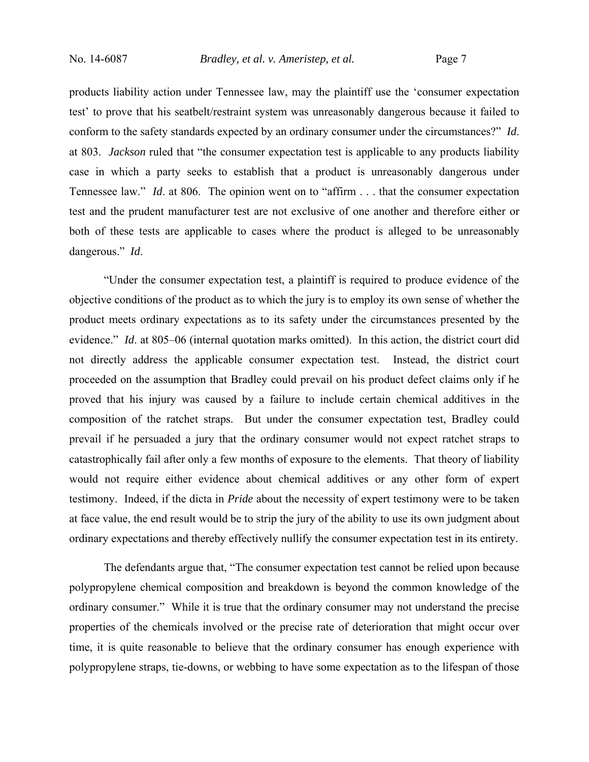products liability action under Tennessee law, may the plaintiff use the 'consumer expectation test' to prove that his seatbelt/restraint system was unreasonably dangerous because it failed to conform to the safety standards expected by an ordinary consumer under the circumstances?" *Id*. at 803. *Jackson* ruled that "the consumer expectation test is applicable to any products liability case in which a party seeks to establish that a product is unreasonably dangerous under Tennessee law." *Id*. at 806. The opinion went on to "affirm . . . that the consumer expectation test and the prudent manufacturer test are not exclusive of one another and therefore either or both of these tests are applicable to cases where the product is alleged to be unreasonably dangerous." *Id*.

"Under the consumer expectation test, a plaintiff is required to produce evidence of the objective conditions of the product as to which the jury is to employ its own sense of whether the product meets ordinary expectations as to its safety under the circumstances presented by the evidence." *Id*. at 805–06 (internal quotation marks omitted). In this action, the district court did not directly address the applicable consumer expectation test. Instead, the district court proceeded on the assumption that Bradley could prevail on his product defect claims only if he proved that his injury was caused by a failure to include certain chemical additives in the composition of the ratchet straps. But under the consumer expectation test, Bradley could prevail if he persuaded a jury that the ordinary consumer would not expect ratchet straps to catastrophically fail after only a few months of exposure to the elements. That theory of liability would not require either evidence about chemical additives or any other form of expert testimony. Indeed, if the dicta in *Pride* about the necessity of expert testimony were to be taken at face value, the end result would be to strip the jury of the ability to use its own judgment about ordinary expectations and thereby effectively nullify the consumer expectation test in its entirety.

The defendants argue that, "The consumer expectation test cannot be relied upon because polypropylene chemical composition and breakdown is beyond the common knowledge of the ordinary consumer." While it is true that the ordinary consumer may not understand the precise properties of the chemicals involved or the precise rate of deterioration that might occur over time, it is quite reasonable to believe that the ordinary consumer has enough experience with polypropylene straps, tie-downs, or webbing to have some expectation as to the lifespan of those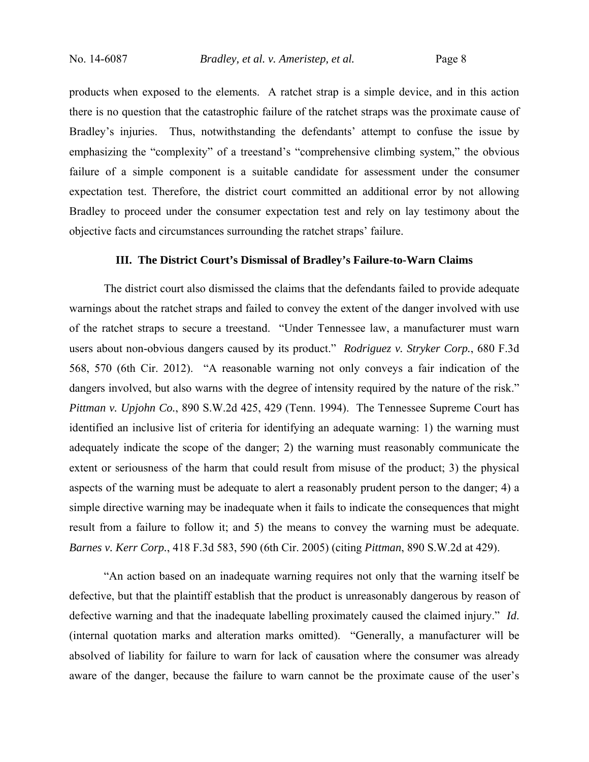products when exposed to the elements. A ratchet strap is a simple device, and in this action there is no question that the catastrophic failure of the ratchet straps was the proximate cause of Bradley's injuries. Thus, notwithstanding the defendants' attempt to confuse the issue by emphasizing the "complexity" of a treestand's "comprehensive climbing system," the obvious failure of a simple component is a suitable candidate for assessment under the consumer expectation test. Therefore, the district court committed an additional error by not allowing Bradley to proceed under the consumer expectation test and rely on lay testimony about the objective facts and circumstances surrounding the ratchet straps' failure.

### **III. The District Court's Dismissal of Bradley's Failure-to-Warn Claims**

The district court also dismissed the claims that the defendants failed to provide adequate warnings about the ratchet straps and failed to convey the extent of the danger involved with use of the ratchet straps to secure a treestand. "Under Tennessee law, a manufacturer must warn users about non-obvious dangers caused by its product." *Rodriguez v. Stryker Corp.*, 680 F.3d 568, 570 (6th Cir. 2012). "A reasonable warning not only conveys a fair indication of the dangers involved, but also warns with the degree of intensity required by the nature of the risk." *Pittman v. Upjohn Co.*, 890 S.W.2d 425, 429 (Tenn. 1994). The Tennessee Supreme Court has identified an inclusive list of criteria for identifying an adequate warning: 1) the warning must adequately indicate the scope of the danger; 2) the warning must reasonably communicate the extent or seriousness of the harm that could result from misuse of the product; 3) the physical aspects of the warning must be adequate to alert a reasonably prudent person to the danger; 4) a simple directive warning may be inadequate when it fails to indicate the consequences that might result from a failure to follow it; and 5) the means to convey the warning must be adequate. *Barnes v. Kerr Corp.*, 418 F.3d 583, 590 (6th Cir. 2005) (citing *Pittman*, 890 S.W.2d at 429).

"An action based on an inadequate warning requires not only that the warning itself be defective, but that the plaintiff establish that the product is unreasonably dangerous by reason of defective warning and that the inadequate labelling proximately caused the claimed injury." *Id*. (internal quotation marks and alteration marks omitted). "Generally, a manufacturer will be absolved of liability for failure to warn for lack of causation where the consumer was already aware of the danger, because the failure to warn cannot be the proximate cause of the user's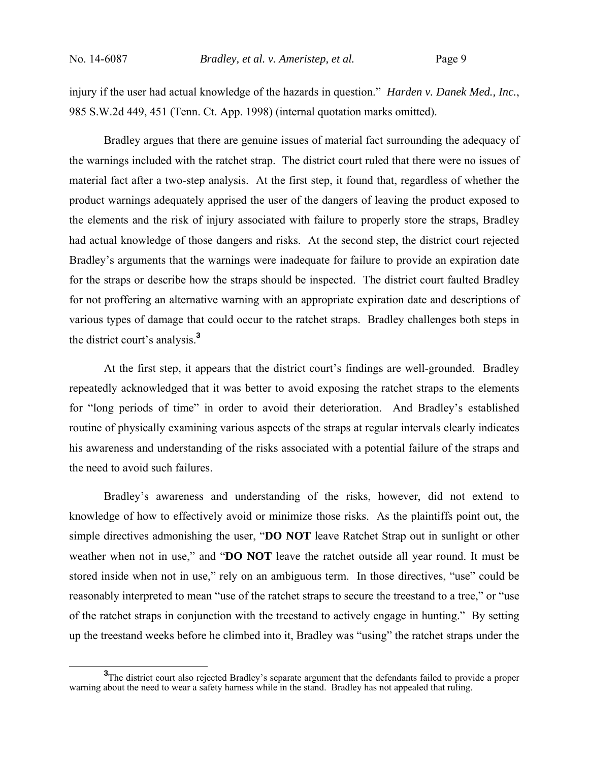injury if the user had actual knowledge of the hazards in question." *Harden v. Danek Med., Inc.*, 985 S.W.2d 449, 451 (Tenn. Ct. App. 1998) (internal quotation marks omitted).

Bradley argues that there are genuine issues of material fact surrounding the adequacy of the warnings included with the ratchet strap. The district court ruled that there were no issues of material fact after a two-step analysis. At the first step, it found that, regardless of whether the product warnings adequately apprised the user of the dangers of leaving the product exposed to the elements and the risk of injury associated with failure to properly store the straps, Bradley had actual knowledge of those dangers and risks. At the second step, the district court rejected Bradley's arguments that the warnings were inadequate for failure to provide an expiration date for the straps or describe how the straps should be inspected. The district court faulted Bradley for not proffering an alternative warning with an appropriate expiration date and descriptions of various types of damage that could occur to the ratchet straps. Bradley challenges both steps in the district court's analysis.**<sup>3</sup>**

At the first step, it appears that the district court's findings are well-grounded. Bradley repeatedly acknowledged that it was better to avoid exposing the ratchet straps to the elements for "long periods of time" in order to avoid their deterioration. And Bradley's established routine of physically examining various aspects of the straps at regular intervals clearly indicates his awareness and understanding of the risks associated with a potential failure of the straps and the need to avoid such failures.

Bradley's awareness and understanding of the risks, however, did not extend to knowledge of how to effectively avoid or minimize those risks. As the plaintiffs point out, the simple directives admonishing the user, "**DO NOT** leave Ratchet Strap out in sunlight or other weather when not in use," and "**DO NOT** leave the ratchet outside all year round. It must be stored inside when not in use," rely on an ambiguous term. In those directives, "use" could be reasonably interpreted to mean "use of the ratchet straps to secure the treestand to a tree," or "use of the ratchet straps in conjunction with the treestand to actively engage in hunting." By setting up the treestand weeks before he climbed into it, Bradley was "using" the ratchet straps under the

<sup>&</sup>lt;sup>3</sup>The district court also rejected Bradley's separate argument that the defendants failed to provide a proper warning about the need to wear a safety harness while in the stand. Bradley has not appealed that ruling.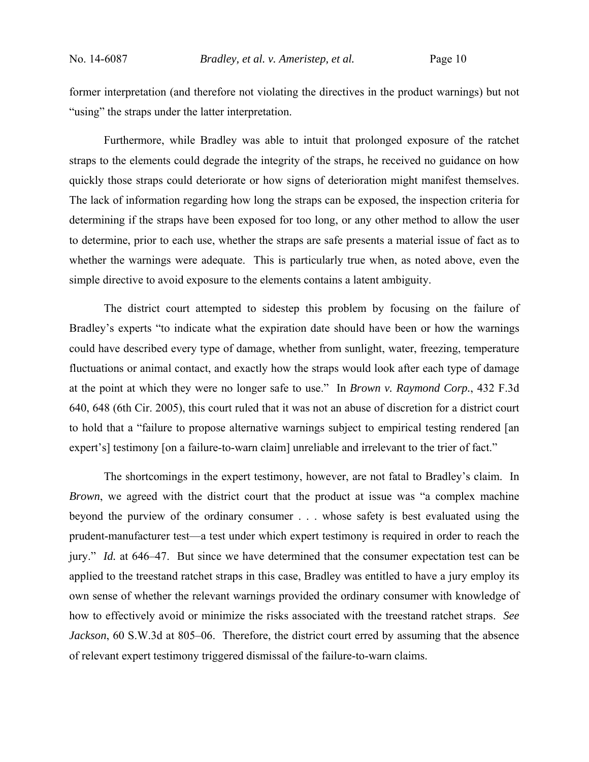former interpretation (and therefore not violating the directives in the product warnings) but not "using" the straps under the latter interpretation.

Furthermore, while Bradley was able to intuit that prolonged exposure of the ratchet straps to the elements could degrade the integrity of the straps, he received no guidance on how quickly those straps could deteriorate or how signs of deterioration might manifest themselves. The lack of information regarding how long the straps can be exposed, the inspection criteria for determining if the straps have been exposed for too long, or any other method to allow the user to determine, prior to each use, whether the straps are safe presents a material issue of fact as to whether the warnings were adequate. This is particularly true when, as noted above, even the simple directive to avoid exposure to the elements contains a latent ambiguity.

The district court attempted to sidestep this problem by focusing on the failure of Bradley's experts "to indicate what the expiration date should have been or how the warnings could have described every type of damage, whether from sunlight, water, freezing, temperature fluctuations or animal contact, and exactly how the straps would look after each type of damage at the point at which they were no longer safe to use." In *Brown v. Raymond Corp.*, 432 F.3d 640, 648 (6th Cir. 2005), this court ruled that it was not an abuse of discretion for a district court to hold that a "failure to propose alternative warnings subject to empirical testing rendered [an expert's] testimony [on a failure-to-warn claim] unreliable and irrelevant to the trier of fact."

The shortcomings in the expert testimony, however, are not fatal to Bradley's claim. In *Brown*, we agreed with the district court that the product at issue was "a complex machine beyond the purview of the ordinary consumer . . . whose safety is best evaluated using the prudent-manufacturer test—a test under which expert testimony is required in order to reach the jury." *Id.* at 646–47. But since we have determined that the consumer expectation test can be applied to the treestand ratchet straps in this case, Bradley was entitled to have a jury employ its own sense of whether the relevant warnings provided the ordinary consumer with knowledge of how to effectively avoid or minimize the risks associated with the treestand ratchet straps. *See Jackson*, 60 S.W.3d at 805–06. Therefore, the district court erred by assuming that the absence of relevant expert testimony triggered dismissal of the failure-to-warn claims.